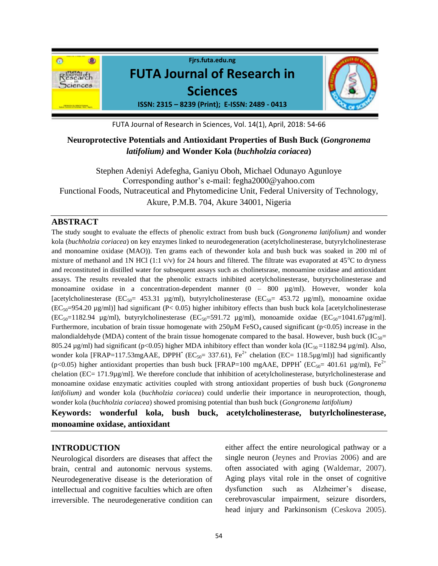

FUTA Journal of Research in Sciences, Vol. 14(1), April, 2018: 54-66

# **Neuroprotective Potentials and Antioxidant Properties of Bush Buck (***Gongronema latifolium)* **and Wonder Kola (***buchholzia coriacea***)**

Stephen Adeniyi Adefegha, Ganiyu Oboh, Michael Odunayo Agunloye Corresponding author's e-mail: fegha2000@yahoo.com Functional Foods, Nutraceutical and Phytomedicine Unit, Federal University of Technology, Akure, P.M.B. 704, Akure 34001, Nigeria

## **ABSTRACT**

The study sought to evaluate the effects of phenolic extract from bush buck (*Gongronema latifolium)* and wonder kola (*buchholzia coriacea*) on key enzymes linked to neurodegeneration (acetylcholinesterase, butyrylcholinesterase and monoamine oxidase (MAO)). Ten grams each of thewonder kola and bush buck was soaked in 200 ml of mixture of methanol and 1N HCl (1:1  $v/v$ ) for 24 hours and filtered. The filtrate was evaporated at 45<sup>o</sup>C to dryness and reconstituted in distilled water for subsequent assays such as cholinetsrase, monoamine oxidase and antioxidant assays. The results revealed that the phenolic extracts inhibited acetylcholinesterase, butyrycholinesterase and monoamine oxidase in a concentration-dependent manner (0 – 800 µg/ml). However, wonder kola [acetylcholinesterase (EC<sub>50</sub>= 453.31 µg/ml), butyrylcholinesterase (EC<sub>50</sub>= 453.72 µg/ml), monoamine oxidae  $(EC_{50}=954.20 \text{ µg/ml})$  had significant (P< 0.05) higher inhibitory effects than bush buck kola [acetylcholinesterase  $(EC_{50}=1182.94 \text{ µg/ml})$ , butyrylcholinesterase  $(EC_{50}=591.72 \text{ µg/ml})$ , monoamide oxidae  $(EC_{50}=1041.67 \text{ µg/ml})$ . Furthermore, incubation of brain tissue homogenate with  $250\mu$ M FeSO<sub>4</sub> caused significant (p<0.05) increase in the malondialdehyde (MDA) content of the brain tissue homogenate compared to the basal. However, bush buck ( $IC_{50}=$ 805.24  $\mu$ g/ml) had significant (p<0.05) higher MDA inhibitory effect than wonder kola (IC<sub>50</sub> = 1182.94  $\mu$ g/ml). Also, wonder kola [FRAP=117.53mgAAE, DPPH' ( $EC_{50}$ = 337.61),  $Fe^{2+}$  chelation ( $EC$ = 118.5µg/ml)] had significantly (p<0.05) higher antioxidant properties than bush buck [FRAP=100 mgAAE, DPPH' (EC<sub>50</sub>= 401.61 µg/ml), Fe<sup>2+</sup> chelation (EC= 171.9µg/ml]. We therefore conclude that inhibition of acetylcholinesterase, butyrlcholinesterase and monoamine oxidase enzymatic activities coupled with strong antioxidant properties of bush buck (*Gongronema latifolium)* and wonder kola (*buchholzia coriacea*) could underlie their importance in neuroprotection, though, wonder kola (*buchholzia coriacea*) showed promising potential than bush buck (*Gongronema latifolium)*

**Keywords: wonderful kola, bush buck, acetylcholinesterase, butyrlcholinesterase, monoamine oxidase, antioxidant**

## **INTRODUCTION**

Neurological disorders are diseases that affect the brain, central and autonomic nervous systems. Neurodegenerative disease is the deterioration of intellectual and cognitive faculties which are often irreversible. The neurodegenerative condition can

either affect the entire neurological pathway or a single neuron (Jeynes and Provias 2006) and are often associated with aging (Waldemar, 2007). Aging plays vital role in the onset of cognitive dysfunction such as Alzheimer's disease, cerebrovascular impairment, seizure disorders, head injury and Parkinsonism (Ceskova 2005).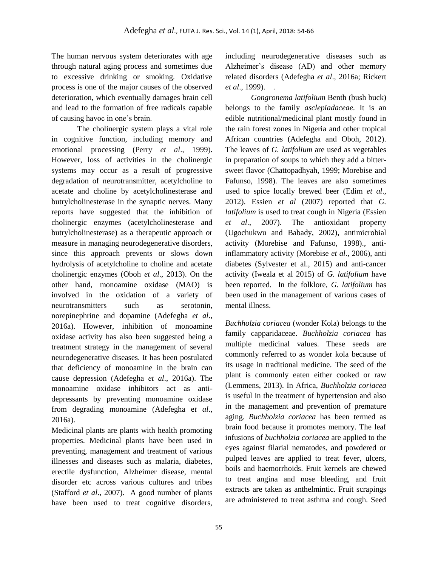The human nervous system deteriorates with age through natural aging process and sometimes due to excessive drinking or smoking. Oxidative process is one of the major causes of the observed deterioration, which eventually damages brain cell and lead to the formation of free radicals capable of causing havoc in one's brain.

The cholinergic system plays a vital role in cognitive function, including memory and emotional processing (Perry *et al*., 1999). However, loss of activities in the cholinergic systems may occur as a result of progressive degradation of neurotransmitter, acetylcholine to acetate and choline by acetylcholinesterase and butrylcholinesterase in the synaptic nerves. Many reports have suggested that the inhibition of cholinergic enzymes (acetylcholinesterase and butrylcholinesterase) as a therapeutic approach or measure in managing neurodegenerative disorders, since this approach prevents or slows down hydrolysis of acetylcholine to choline and acetate cholinergic enzymes (Oboh *et al*., 2013). On the other hand, monoamine oxidase (MAO) is involved in the oxidation of a variety of neurotransmitters such as serotonin, norepinephrine and dopamine (Adefegha *et al*., 2016a). However, inhibition of monoamine oxidase activity has also been suggested being a treatment strategy in the management of several neurodegenerative diseases. It has been postulated that deficiency of monoamine in the brain can cause depression (Adefegha *et al*., 2016a). The monoamine oxidase inhibitors act as antidepressants by preventing monoamine oxidase from degrading monoamine (Adefegha e*t al*., 2016a).

Medicinal plants are plants with health promoting properties. Medicinal plants have been used in preventing, management and treatment of various illnesses and diseases such as malaria, diabetes, erectile dysfunction, Alzheimer disease, mental disorder etc across various cultures and tribes (Stafford *et al*., 2007). A good number of plants have been used to treat cognitive disorders,

including neurodegenerative diseases such as Alzheimer's disease (AD) and other memory related disorders (Adefegha *et al*., 2016a; Rickert *et al.*, 1999). .

*Gongronema latifolium* Benth (bush buck) belongs to the family *asclepiadaceae*. It is an edible nutritional/medicinal plant mostly found in the rain forest zones in Nigeria and other tropical African countries (Adefegha and Oboh, 2012). The leaves of *G. latifolium* are used as vegetables in preparation of soups to which they add a bittersweet flavor (Chattopadhyah, 1999; Morebise and Fafunso, 1998). The leaves are also sometimes used to spice locally brewed beer (Edim *et al*., 2012). Essien *et al* (2007) reported that *G. latifolium* is used to treat cough in Nigeria (Essien *et al*., 2007). The antioxidant property (Ugochukwu and Babady, 2002), antimicrobial activity (Morebise and Fafunso, 1998)., antiinflammatory activity (Morebise *et al*., 2006), anti diabetes (Sylvester et al., 2015) and anti-cancer activity (Iweala et al 2015) of *G. latifolium* have been reported. In the folklore, *G. latifolium* has been used in the management of various cases of mental illness.

*Buchholzia coriacea* (wonder Kola) belongs to the family capparidaceae. *Buchholzia coriacea* has multiple medicinal values. These seeds are commonly referred to as wonder kola because of its usage in traditional medicine. The seed of the plant is commonly eaten either cooked or raw (Lemmens, 2013). In Africa, *Buchholzia coriacea* is useful in the treatment of hypertension and also in the management and prevention of premature aging. *Buchholzia coriacea* has been termed as brain food because it promotes memory. The leaf infusions of *buchholzia coriacea* are applied to the eyes against filarial nematodes, and powdered or pulped leaves are applied to treat fever, ulcers, boils and haemorrhoids. Fruit kernels are chewed to treat angina and nose bleeding, and fruit extracts are taken as anthelmintic. Fruit scrapings are administered to treat asthma and cough. Seed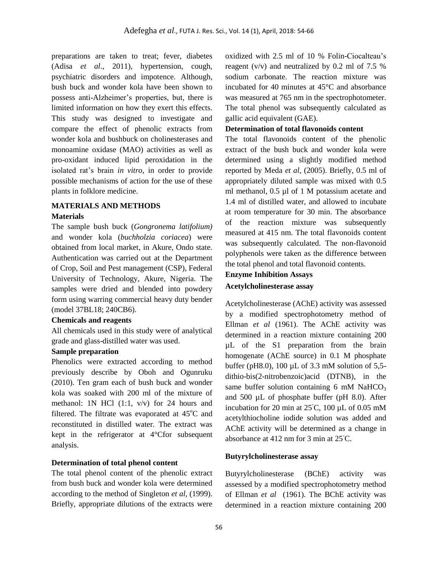preparations are taken to treat; fever, diabetes (Adisa *et al*., 2011), hypertension, cough, psychiatric disorders and impotence. Although, bush buck and wonder kola have been shown to possess anti-Alzheimer's properties, but, there is limited information on how they exert this effects. This study was designed to investigate and compare the effect of phenolic extracts from wonder kola and bushbuck on cholinesterases and monoamine oxidase (MAO) activities as well as pro-oxidant induced lipid peroxidation in the isolated rat's brain *in vitro*, in order to provide possible mechanisms of action for the use of these plants in folklore medicine.

## **MATERIALS AND METHODS**

#### **Materials**

The sample bush buck (*Gongronema latifolium)*  and wonder kola (*buchholzia coriacea*) were obtained from local market, in Akure, Ondo state. Authentication was carried out at the Department of Crop, Soil and Pest management (CSP), Federal University of Technology, Akure, Nigeria. The samples were dried and blended into powdery form using warring commercial heavy duty bender (model 37BL18; 240CB6).

### **Chemicals and reagents**

All chemicals used in this study were of analytical grade and glass-distilled water was used.

### **Sample preparation**

Phenolics were extracted according to method previously describe by Oboh and Ogunruku (2010). Ten gram each of bush buck and wonder kola was soaked with 200 ml of the mixture of methanol: 1N HCl (1:1, v/v) for 24 hours and filtered. The filtrate was evaporated at  $45^{\circ}$ C and reconstituted in distilled water. The extract was kept in the refrigerator at 4°Cfor subsequent analysis.

### **Determination of total phenol content**

The total phenol content of the phenolic extract from bush buck and wonder kola were determined according to the method of Singleton *et al*, (1999). Briefly, appropriate dilutions of the extracts were

oxidized with 2.5 ml of 10 % Folin-Ciocalteau's reagent  $(v/v)$  and neutralized by 0.2 ml of 7.5 % sodium carbonate. The reaction mixture was incubated for 40 minutes at 45°C and absorbance was measured at 765 nm in the spectrophotometer. The total phenol was subsequently calculated as gallic acid equivalent (GAE).

#### **Determination of total flavonoids content**

The total flavonoids content of the phenolic extract of the bush buck and wonder kola were determined using a slightly modified method reported by Meda *et al*, (2005). Briefly, 0.5 ml of appropriately diluted sample was mixed with 0.5 ml methanol, 0.5 µl of 1 M potassium acetate and 1.4 ml of distilled water, and allowed to incubate at room temperature for 30 min. The absorbance of the reaction mixture was subsequently measured at 415 nm. The total flavonoids content was subsequently calculated. The non-flavonoid polyphenols were taken as the difference between the total phenol and total flavonoid contents.

### **Enzyme Inhibition Assays**

### **Acetylcholinesterase assay**

Acetylcholinesterase (AChE) activity was assessed by a modified spectrophotometry method of Ellman *et al* (1961). The AChE activity was determined in a reaction mixture containing 200 µL of the S1 preparation from the brain homogenate (AChE source) in 0.1 M phosphate buffer (pH8.0), 100 µL of 3.3 mM solution of 5,5 dithio-bis(2-nitrobenzoic)acid (DTNB), in the same buffer solution containing  $6 \text{ mM } \text{NaHCO}_3$ and 500 µL of phosphate buffer (pH 8.0). After incubation for 20 min at  $25^{\circ}$ C, 100 µL of 0.05 mM acetylthiocholine iodide solution was added and AChE activity will be determined as a change in absorbance at 412 nm for 3 min at 25◦C.

### **Butyrylcholinesterase assay**

Butyrylcholinesterase (BChE) activity was assessed by a modified spectrophotometry method of Ellman *et al* (1961). The BChE activity was determined in a reaction mixture containing 200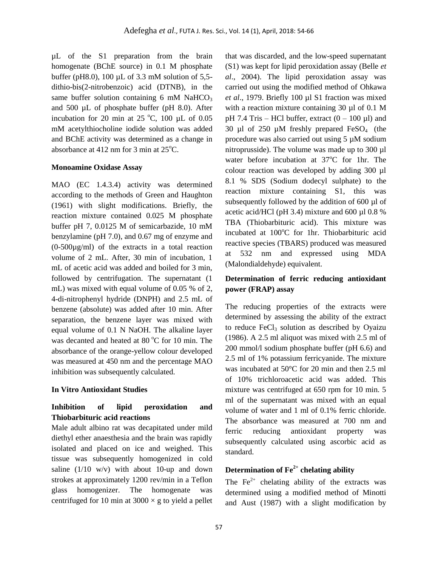µL of the S1 preparation from the brain homogenate (BChE source) in 0.1 M phosphate buffer (pH8.0), 100 µL of 3.3 mM solution of 5,5 dithio-bis(2-nitrobenzoic) acid (DTNB), in the same buffer solution containing  $6 \text{ mM } \text{NaHCO}_3$ and 500 µL of phosphate buffer (pH 8.0). After incubation for 20 min at 25  $^{\circ}$ C, 100 µL of 0.05 mM acetylthiocholine iodide solution was added and BChE activity was determined as a change in absorbance at 412 nm for 3 min at  $25^{\circ}$ C.

### **Monoamine Oxidase Assay**

MAO (EC 1.4.3.4) activity was determined according to the methods of Green and Haughton (1961) with slight modifications. Briefly, the reaction mixture contained 0.025 M phosphate buffer pH 7, 0.0125 M of semicarbazide, 10 mM benzylamine (pH 7.0), and 0.67 mg of enzyme and (0-500µg/ml) of the extracts in a total reaction volume of 2 mL. After, 30 min of incubation, 1 mL of acetic acid was added and boiled for 3 min, followed by centrifugation. The supernatant (1 mL) was mixed with equal volume of 0.05 % of 2, 4-di-nitrophenyl hydride (DNPH) and 2.5 mL of benzene (absolute) was added after 10 min. After separation, the benzene layer was mixed with equal volume of 0.1 N NaOH. The alkaline layer was decanted and heated at  $80^{\circ}$ C for 10 min. The absorbance of the orange-yellow colour developed was measured at 450 nm and the percentage MAO inhibition was subsequently calculated.

### **In Vitro Antioxidant Studies**

## **Inhibition of lipid peroxidation and Thiobarbituric acid reactions**

Male adult albino rat was decapitated under mild diethyl ether anaesthesia and the brain was rapidly isolated and placed on ice and weighed. This tissue was subsequently homogenized in cold saline  $(1/10 \text{ w/v})$  with about 10-up and down strokes at approximately 1200 rev/min in a Teflon glass homogenizer. The homogenate was centrifuged for 10 min at  $3000 \times g$  to yield a pellet

that was discarded, and the low-speed supernatant (S1) was kept for lipid peroxidation assay (Belle *et al*., 2004). The lipid peroxidation assay was carried out using the modified method of Ohkawa *et al*., 1979. Briefly 100 µl S1 fraction was mixed with a reaction mixture containing 30 µl of 0.1 M pH 7.4 Tris – HCl buffer, extract  $(0 - 100 \mu l)$  and 30 µl of 250 µM freshly prepared  $FeSO<sub>4</sub>$  (the procedure was also carried out using 5 µM sodium nitroprusside). The volume was made up to 300 µl water before incubation at  $37^{\circ}$ C for 1hr. The colour reaction was developed by adding 300 µl 8.1 % SDS (Sodium dodecyl sulphate) to the reaction mixture containing S1, this was subsequently followed by the addition of 600 µl of acetic acid/HCl (pH 3.4) mixture and 600 µl 0.8 % TBA (Thiobarbituric acid). This mixture was incubated at  $100^{\circ}$ C for 1hr. Thiobarbituric acid reactive species (TBARS) produced was measured at 532 nm and expressed using MDA (Malondialdehyde) equivalent.

## **Determination of ferric reducing antioxidant power (FRAP) assay**

The reducing properties of the extracts were determined by assessing the ability of the extract to reduce  $FeCl<sub>3</sub>$  solution as described by Oyaizu (1986). A 2.5 ml aliquot was mixed with 2.5 ml of 200 mmol/l sodium phosphate buffer (pH 6.6) and 2.5 ml of 1% potassium ferricyanide. The mixture was incubated at 50°C for 20 min and then 2.5 ml of 10% trichloroacetic acid was added. This mixture was centrifuged at 650 rpm for 10 min. 5 ml of the supernatant was mixed with an equal volume of water and 1 ml of 0.1% ferric chloride. The absorbance was measured at 700 nm and ferric reducing antioxidant property was subsequently calculated using ascorbic acid as standard.

## **Determination of Fe2+ chelating ability**

The  $Fe<sup>2+</sup>$  chelating ability of the extracts was determined using a modified method of Minotti and Aust (1987) with a slight modification by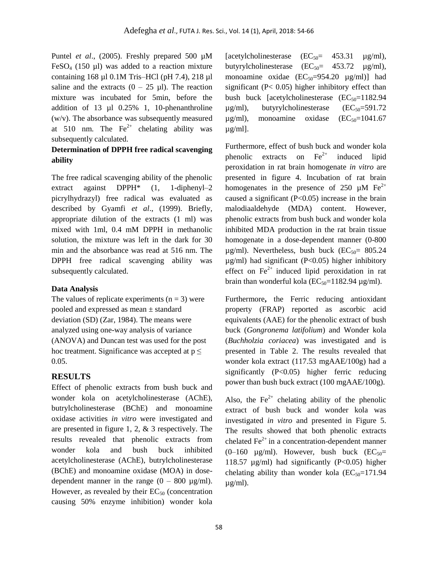Puntel *et al.*, (2005). Freshly prepared 500  $\mu$ M  $FeSO<sub>4</sub>$  (150 µl) was added to a reaction mixture containing 168 µl 0.1M Tris–HCl (pH 7.4), 218 µl saline and the extracts  $(0 - 25 \mu l)$ . The reaction mixture was incubated for 5min, before the addition of 13 µl 0.25% 1, 10-phenanthroline (w/v). The absorbance was subsequently measured at 510 nm. The  $Fe<sup>2+</sup>$  chelating ability was subsequently calculated.

## **Determination of DPPH free radical scavenging ability**

The free radical scavenging ability of the phenolic extract against DPPH\* (1, 1-diphenyl–2 picrylhydrazyl) free radical was evaluated as described by Gyamfi *et al*., (1999). Briefly, appropriate dilution of the extracts (1 ml) was mixed with 1ml, 0.4 mM DPPH in methanolic solution, the mixture was left in the dark for 30 min and the absorbance was read at 516 nm. The DPPH free radical scavenging ability was subsequently calculated.

## **Data Analysis**

The values of replicate experiments  $(n = 3)$  were pooled and expressed as mean ± standard deviation (SD) (Zar, 1984). The means were analyzed using one-way analysis of variance (ANOVA) and Duncan test was used for the post hoc treatment. Significance was accepted at  $p \leq$ 0.05.

## **RESULTS**

Effect of phenolic extracts from bush buck and wonder kola on acetylcholinesterase (AChE), butrylcholinesterase (BChE) and monoamine oxidase activities *in vitro* were investigated and are presented in figure 1, 2, & 3 respectively. The results revealed that phenolic extracts from wonder kola and bush buck inhibited acetylcholinesterase (AChE), butrylcholinesterase (BChE) and monoamine oxidase (MOA) in dosedependent manner in the range  $(0 - 800 \text{ µg/ml})$ . However, as revealed by their  $EC_{50}$  (concentration causing 50% enzyme inhibition) wonder kola [acetylcholinesterase  $(EC_{50} = 453.31 \text{ µg/ml})$ , butyrylcholinesterase  $(EC_{50} = 453.72 \mu g/ml)$ , monoamine oxidae  $(EC_{50}=954.20 \mu g/ml)$ ] had significant ( $P < 0.05$ ) higher inhibitory effect than bush buck [acetylcholinesterase  $(EC_{50}=1182.94$ ]  $\mu$ g/ml), butyrylcholinesterase (EC<sub>50</sub>=591.72)  $\mu$ g/ml), monoamine oxidase (EC<sub>50</sub>=1041.67  $\mu$ g/ml].

Furthermore, effect of bush buck and wonder kola phenolic extracts on  $Fe^{2+}$  induced lipid peroxidation in rat brain homogenate *in vitro* are presented in figure 4. Incubation of rat brain homogenates in the presence of 250  $\mu$ M Fe<sup>2+</sup> caused a significant (P<0.05) increase in the brain malodiaaldehyde (MDA) content. However, phenolic extracts from bush buck and wonder kola inhibited MDA production in the rat brain tissue homogenate in a dose-dependent manner (0-800  $\mu$ g/ml). Nevertheless, bush buck (EC<sub>50</sub>= 805.24)  $\mu$ g/ml) had significant (P<0.05) higher inhibitory effect on  $Fe<sup>2+</sup>$  induced lipid peroxidation in rat brain than wonderful kola ( $EC_{50}=1182.94 \text{ µg/ml}$ ).

Furthermore**,** the Ferric reducing antioxidant property (FRAP) reported as ascorbic acid equivalents (AAE) for the phenolic extract of bush buck (*Gongronema latifolium*) and Wonder kola (*Buchholzia coriacea*) was investigated and is presented in Table 2. The results revealed that wonder kola extract (117.53 mgAAE/100g) had a significantly (P<0.05) higher ferric reducing power than bush buck extract (100 mgAAE/100g).

Also, the  $Fe^{2+}$  chelating ability of the phenolic extract of bush buck and wonder kola was investigated *in vitro* and presented in Figure 5. The results showed that both phenolic extracts chelated  $\text{Fe}^{2+}$  in a concentration-dependent manner (0–160  $\mu$ g/ml). However, bush buck (EC<sub>50</sub>= 118.57  $\mu$ g/ml) had significantly (P<0.05) higher chelating ability than wonder kola  $(EC_{50}=171.94)$  $\mu$ g/ml).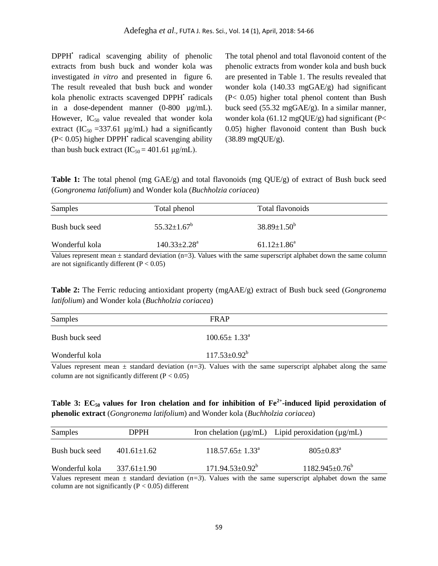DPPH<sup>•</sup> radical scavenging ability of phenolic extracts from bush buck and wonder kola was investigated *in vitro* and presented in figure 6. The result revealed that bush buck and wonder kola phenolic extracts scavenged DPPH<sup>+</sup> radicals in a dose-dependent manner (0-800 µg/mL). However,  $IC_{50}$  value revealed that wonder kola extract (IC<sub>50</sub> = 337.61  $\mu$ g/mL) had a significantly  $(P< 0.05)$  higher DPPH<sup> $\cdot$ </sup> radical scavenging ability than bush buck extract  $(IC_{50} = 401.61 \text{ µg/mL})$ .

The total phenol and total flavonoid content of the phenolic extracts from wonder kola and bush buck are presented in Table 1. The results revealed that wonder kola (140.33 mgGAE/g) had significant (P< 0.05) higher total phenol content than Bush buck seed (55.32 mgGAE/g). In a similar manner, wonder kola (61.12 mgQUE/g) had significant (P< 0.05) higher flavonoid content than Bush buck (38.89 mgQUE/g).

**Table 1:** The total phenol (mg GAE/g) and total flavonoids (mg QUE/g) of extract of Bush buck seed (*Gongronema latifolium*) and Wonder kola (*Buchholzia coriacea*)

| Samples        | Total phenol        | Total flavonoids   |  |
|----------------|---------------------|--------------------|--|
| Bush buck seed | $55.32 \pm 1.67^b$  | $38.89 \pm 1.50^b$ |  |
| Wonderful kola | $140.33 \pm 2.28^a$ | $61.12 \pm 1.86^a$ |  |

Values represent mean  $\pm$  standard deviation (n=3). Values with the same superscript alphabet down the same column are not significantly different  $(P < 0.05)$ 

**Table 2:** The Ferric reducing antioxidant property (mgAAE/g) extract of Bush buck seed (*Gongronema latifolium*) and Wonder kola (*Buchholzia coriacea*)

| Samples        | <b>FRAP</b>                                                                                                                                                                                                                                                                                                                                                 |                 |
|----------------|-------------------------------------------------------------------------------------------------------------------------------------------------------------------------------------------------------------------------------------------------------------------------------------------------------------------------------------------------------------|-----------------|
| Bush buck seed | $100.65 \pm 1.33^{\circ}$                                                                                                                                                                                                                                                                                                                                   |                 |
| Wonderful kola | $117.53 \pm 0.92^b$                                                                                                                                                                                                                                                                                                                                         |                 |
| T T            | $\mathcal{L}$ $\mathcal{L}$ $\mathcal{L}$ $\mathcal{L}$ $\mathcal{L}$ $\mathcal{L}$ $\mathcal{L}$ $\mathcal{L}$ $\mathcal{L}$ $\mathcal{L}$ $\mathcal{L}$ $\mathcal{L}$ $\mathcal{L}$ $\mathcal{L}$ $\mathcal{L}$ $\mathcal{L}$ $\mathcal{L}$ $\mathcal{L}$ $\mathcal{L}$ $\mathcal{L}$ $\mathcal{L}$ $\mathcal{L}$ $\mathcal{L}$ $\mathcal{L}$ $\mathcal{$ | .<br>$\sim$ 1.1 |

Values represent mean  $\pm$  standard deviation  $(n=3)$ . Values with the same superscript alphabet along the same column are not significantly different  $(P < 0.05)$ 

## **Table 3: EC50 values for Iron chelation and for inhibition of Fe2+ -induced lipid peroxidation of phenolic extract** (*Gongronema latifolium*) and Wonder kola (*Buchholzia coriacea*)

| Samples        | <b>DPPH</b>       |                              | Iron chelation ( $\mu$ g/mL) Lipid peroxidation ( $\mu$ g/mL) |  |
|----------------|-------------------|------------------------------|---------------------------------------------------------------|--|
| Bush buck seed | $401.61 \pm 1.62$ | $118.57.65 \pm 1.33^{\circ}$ | $805 \pm 0.83$ <sup>a</sup>                                   |  |
| Wonderful kola | $337.61 \pm 1.90$ | $171.94.53 \pm 0.92^b$       | $1182.945 \pm 0.76^{\circ}$                                   |  |

Values represent mean  $\pm$  standard deviation  $(n=3)$ . Values with the same superscript alphabet down the same column are not significantly ( $P < 0.05$ ) different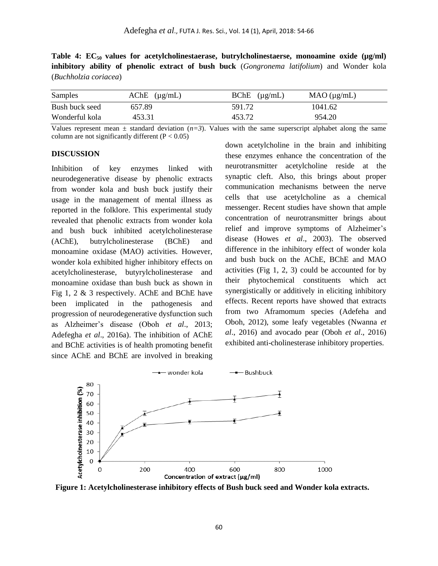Table 4: EC<sub>50</sub> values for acetylcholinestaerase, butrylcholinestaerse, monoamine oxide ( $\mu$ g/ml) **inhibitory ability of phenolic extract of bush buck** (*Gongronema latifolium*) and Wonder kola (*Buchholzia coriacea*)

| Samples        | $AChE$ ( $\mu$ g/mL) | $B$ ChE $(\mu$ g/mL) | $MAO$ ( $\mu$ g/mL) |
|----------------|----------------------|----------------------|---------------------|
| Bush buck seed | 657.89               | 591.72               | 1041.62             |
| Wonderful kola | 453.31               | 453.72               | 954.20              |

Values represent mean  $\pm$  standard deviation  $(n=3)$ . Values with the same superscript alphabet along the same column are not significantly different  $(P < 0.05)$ 

#### **DISCUSSION**

Inhibition of key enzymes linked with neurodegenerative disease by phenolic extracts from wonder kola and bush buck justify their usage in the management of mental illness as reported in the folklore. This experimental study revealed that phenolic extracts from wonder kola and bush buck inhibited acetylcholinesterase (AChE), butrylcholinesterase (BChE) and monoamine oxidase (MAO) activities. However, wonder kola exhibited higher inhibitory effects on acetylcholinesterase, butyrylcholinesterase and monoamine oxidase than bush buck as shown in Fig 1, 2 & 3 respectively. AChE and BChE have been implicated in the pathogenesis and progression of neurodegenerative dysfunction such as Alzheimer's disease (Oboh *et al*., 2013; Adefegha *et al*., 2016a). The inhibition of AChE and BChE activities is of health promoting benefit since AChE and BChE are involved in breaking down acetylcholine in the brain and inhibiting these enzymes enhance the concentration of the neurotransmitter acetylcholine reside at the synaptic cleft. Also, this brings about proper communication mechanisms between the nerve cells that use acetylcholine as a chemical messenger. Recent studies have shown that ample concentration of neurotransmitter brings about relief and improve symptoms of Alzheimer's disease (Howes *et al*., 2003). The observed difference in the inhibitory effect of wonder kola and bush buck on the AChE, BChE and MAO activities (Fig 1, 2, 3) could be accounted for by their phytochemical constituents which act synergistically or additively in eliciting inhibitory effects. Recent reports have showed that extracts from two Aframomum species (Adefeha and Oboh, 2012), some leafy vegetables (Nwanna *et al*., 2016) and avocado pear (Oboh *et al*., 2016) exhibited anti-cholinesterase inhibitory properties.



**Figure 1: Acetylcholinesterase inhibitory effects of Bush buck seed and Wonder kola extracts.**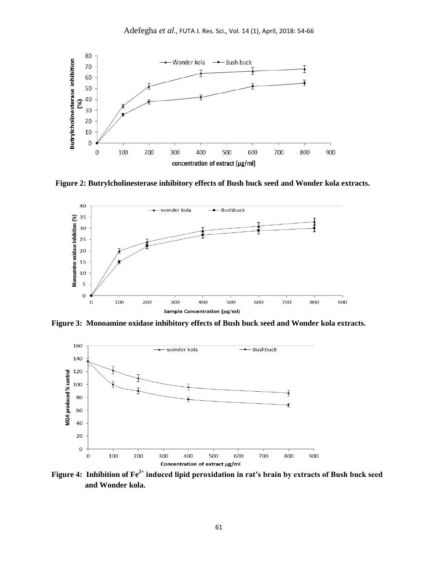

**Figure 2: Butrylcholinesterase inhibitory effects of Bush buck seed and Wonder kola extracts.**



**Figure 3: Monoamine oxidase inhibitory effects of Bush buck seed and Wonder kola extracts.** 



**Figure 4: Inhibition of Fe2+ induced lipid peroxidation in rat's brain by extracts of Bush buck seed and Wonder kola.**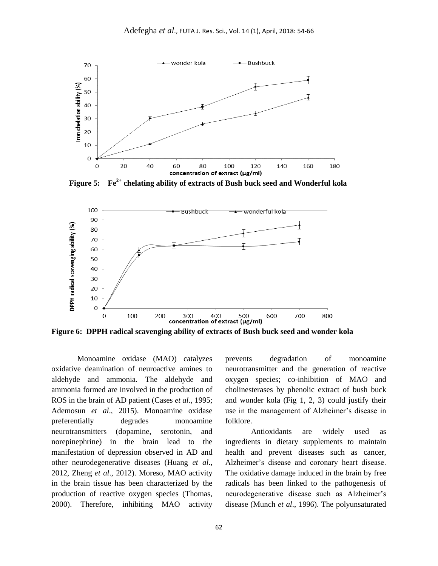

 **Figure 5: Fe2+ chelating ability of extracts of Bush buck seed and Wonderful kola**



**Figure 6: DPPH radical scavenging ability of extracts of Bush buck seed and wonder kola**

Monoamine oxidase (MAO) catalyzes oxidative deamination of neuroactive amines to aldehyde and ammonia. The aldehyde and ammonia formed are involved in the production of ROS in the brain of AD patient (Cases *et al*., 1995; Ademosun *et al*., 2015). Monoamine oxidase preferentially degrades monoamine neurotransmitters (dopamine, serotonin, and norepinephrine) in the brain lead to the manifestation of depression observed in AD and other neurodegenerative diseases (Huang *et al*., 2012, Zheng *et al*., 2012). Moreso, MAO activity in the brain tissue has been characterized by the production of reactive oxygen species (Thomas, 2000). Therefore, inhibiting MAO activity

prevents degradation of monoamine neurotransmitter and the generation of reactive oxygen species; co-inhibition of MAO and cholinesterases by phenolic extract of bush buck and wonder kola (Fig 1, 2, 3) could justify their use in the management of Alzheimer's disease in folklore.

Antioxidants are widely used as ingredients in dietary supplements to maintain health and prevent diseases such as cancer, Alzheimer's disease and coronary heart disease. The oxidative damage induced in the brain by free radicals has been linked to the pathogenesis of neurodegenerative disease such as Alzheimer's disease (Munch *et al*., 1996). The polyunsaturated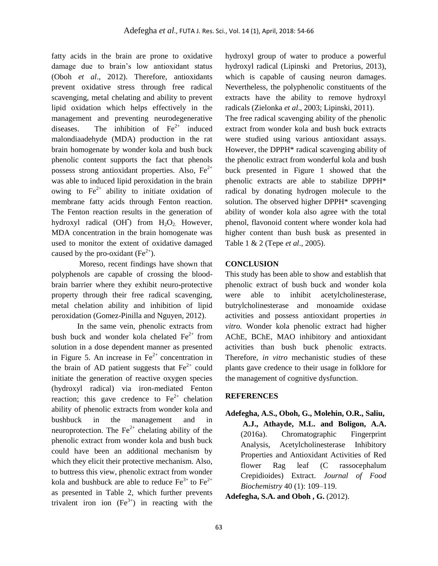fatty acids in the brain are prone to oxidative damage due to brain's low antioxidant status (Oboh *et al*., 2012). Therefore, antioxidants prevent oxidative stress through free radical scavenging, metal chelating and ability to prevent lipid oxidation which helps effectively in the management and preventing neurodegenerative diseases. The inhibition of  $Fe<sup>2+</sup>$  induced malondiaadehyde (MDA) production in the rat brain homogenate by wonder kola and bush buck phenolic content supports the fact that phenols possess strong antioxidant properties. Also,  $Fe^{2+}$ was able to induced lipid peroxidation in the brain owing to  $Fe<sup>2+</sup>$  ability to initiate oxidation of membrane fatty acids through Fenton reaction. The Fenton reaction results in the generation of hydroxyl radical (OH<sup>\*</sup>) from  $H_2O_2$ . However, MDA concentration in the brain homogenate was used to monitor the extent of oxidative damaged caused by the pro-oxidant  $(Fe<sup>2+</sup>)$ .

Moreso, recent findings have shown that polyphenols are capable of crossing the bloodbrain barrier where they exhibit neuro-protective property through their free radical scavenging, metal chelation ability and inhibition of lipid peroxidation (Gomez-Pinilla and Nguyen, 2012).

In the same vein, phenolic extracts from bush buck and wonder kola chelated  $Fe<sup>2+</sup>$  from solution in a dose dependent manner as presented in Figure 5. An increase in  $Fe<sup>2+</sup>$  concentration in the brain of AD patient suggests that  $Fe<sup>2+</sup>$  could initiate the generation of reactive oxygen species (hydroxyl radical) via iron-mediated Fenton reaction; this gave credence to  $Fe<sup>2+</sup>$  chelation ability of phenolic extracts from wonder kola and bushbuck in the management and in neuroprotection. The  $Fe^{2+}$  chelating ability of the phenolic extract from wonder kola and bush buck could have been an additional mechanism by which they elicit their protective mechanism. Also, to buttress this view, phenolic extract from wonder kola and bushbuck are able to reduce  $Fe^{3+}$  to  $Fe^{2+}$ as presented in Table 2, which further prevents trivalent iron ion  $(Fe^{3+})$  in reacting with the

hydroxyl group of water to produce a powerful hydroxyl radical (Lipinski and Pretorius, 2013), which is capable of causing neuron damages. Nevertheless, the polyphenolic constituents of the extracts have the ability to remove hydroxyl radicals (Zielonka *et al*., 2003; Lipinski, 2011).

The free radical scavenging ability of the phenolic extract from wonder kola and bush buck extracts were studied using various antioxidant assays. However, the DPPH\* radical scavenging ability of the phenolic extract from wonderful kola and bush buck presented in Figure 1 showed that the phenolic extracts are able to stabilize DPPH\* radical by donating hydrogen molecule to the solution. The observed higher DPPH\* scavenging ability of wonder kola also agree with the total phenol, flavonoid content where wonder kola had higher content than bush busk as presented in Table 1 & 2 (Tepe *et al*., 2005).

### **CONCLUSION**

This study has been able to show and establish that phenolic extract of bush buck and wonder kola were able to inhibit acetylcholinesterase, butrylcholinesterase and monoamide oxidase activities and possess antioxidant properties *in vitro.* Wonder kola phenolic extract had higher AChE, BChE, MAO inhibitory and antioxidant activities than bush buck phenolic extracts. Therefore, *in vitro* mechanistic studies of these plants gave credence to their usage in folklore for the management of cognitive dysfunction.

### **REFERENCES**

**Adefegha, A.S., Oboh, G., Molehin, O.R., Saliu, A.J., Athayde, M.L. and Boligon, A.A.** (2016a). Chromatographic Fingerprint Analysis, Acetylcholinesterase Inhibitory Properties and Antioxidant Activities of Red flower Rag leaf (C rassocephalum Crepidioides) Extract. *Journal of Food Biochemistry* 40 (1): 109–119.

**[Adefegha,](http://www.ncbi.nlm.nih.gov/pubmed/?term=Adefegha%20SA%5BAuthor%5D&cauthor=true&cauthor_uid=23023693) S.A. and [Oboh](http://www.ncbi.nlm.nih.gov/pubmed/?term=Oboh%20G%5BAuthor%5D&cauthor=true&cauthor_uid=23023693) , G.** (2012).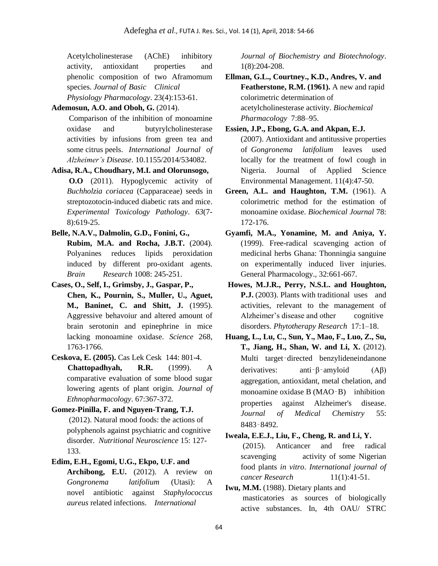Acetylcholinesterase (AChE) inhibitory activity, antioxidant properties and phenolic composition of two Aframomum species. *Journal of Basic Clinical Physiology Pharmacology*. 23(4):153-61.

**Ademosun, A.O. and Oboh, G.** (2014).

Comparison of the inhibition of monoamine oxidase and butyrylcholinesterase activities by infusions from green tea and some citrus peels. *International Journal of Alzheimer's Disease*. 10.1155/2014/534082.

**Adisa, R.A., Choudhary, M.I. and Olorunsogo, O.O** (2011). Hypoglycemic activity of *Buchholzia coriacea* (Capparaceae) seeds in streptozotocin-induced diabetic rats and mice. *Experimental Toxicology Pathology*. *63*(7- 8):619-25.

- **Belle, N.A.V., Dalmolin, G.D., Fonini, G., Rubim, M.A. and Rocha, J.B.T.** (2004). Polyanines reduces lipids peroxidation induced by different pro-oxidant agents. *Brain Research* 1008: 245-251.
- **Cases, O., Self, I., Grimsby, J., Gaspar, P., Chen, K., Pournin, S., Muller, U., Aguet, M., Baninet, C. and Shitt, J.** (1995). Aggressive behavoiur and altered amount of brain serotonin and epinephrine in mice lacking monoamine oxidase. *Science* 268, 1763-1766.
- **Ceskova, E. (2005).** Cas Lek Cesk 144: 801-4. **Chattopadhyah, R.R.** (1999). A comparative evaluation of some blood sugar lowering agents of plant origin. *Journal of Ethnopharmacology*. 67:367-372.
- **Gomez-Pinilla, F. and Nguyen-Trang, T.J.** (2012). Natural mood foods: the actions of polyphenols against psychiatric and cognitive disorder. *Nutritional Neuroscience* 15: 127- 133.
- **Edim, E.H., Egomi, U.G., Ekpo, U.F. and**
	- **Archibong, E.U.** (2012). A review on *Gongronema latifolium* (Utasi): A novel antibiotic against *Staphylococcus aureus* related infections. *International*

*Journal of Biochemistry and Biotechnology*. 1(8):204-208.

**Ellman, G.L., Courtney., K.D., Andres, V. and Featherstone, R.M. (1961).** A new and rapid colorimetric determination of acetylcholinesterase activity. *Biochemical Pharmacology* 7:88–95.

**Essien, J.P., Ebong, G.A. and Akpan, E.J.** (2007). Antioxidant and antitussive properties of *Gongronema latifolium* leaves used locally for the treatment of fowl cough in Nigeria. Journal of Applied Science Environmental Management. 11(4):47-50.

- **Green, A.L. and Haughton, T.M.** (1961). A colorimetric method for the estimation of monoamine oxidase. *Biochemical Journal* 78: 172-176.
- **Gyamfi, M.A., Yonamine, M. and Aniya, Y.** (1999). Free-radical scavenging action of medicinal herbs Ghana: Thonningia sanguine on experimentally induced liver injuries. General Pharmacology., 32:661-667.
- **Howes, M.J.R., Perry, N.S.L. and Houghton, P.J.** (2003). Plants with traditional uses and activities, relevant to the management of Alzheimer's disease and other cognitive disorders. *[Phytotherapy](http://int.search.myway.com/search/GGmain.jhtml?ct=ARS&n=782b4103&p2=%5EY6%5Exdm007%5ES17766%5Eng&pg=GGmain&pn=1&ptb=A7F860C8-D1D6-4EBC-A68F-AE6C276761BD&qs=&si=CMzL8ZX2xc8CFUUq0wodizoIEg&ss=sub&st=tab&trs=wtt&searchfor=Phytotherapy+Research&feedurl=ars%252Ffeedback%253ForiginalQuery%253Dphytother%252Bres%252B%2526relatedQuery%253Dphytotherapy%252Bresearch&tpr=jre10&ots=1489075066447) Research* 17:1–18.
- **Huang, L., Lu, C., Sun, Y., Mao, F., Luo, Z., Su, T., Jiang, H., Shan, W. and Li, X.** (2012). Multi target-directed benzylideneindanone derivatives: anti‑β‑amyloid (Aβ) aggregation, antioxidant, metal chelation, and monoamine oxidase B (MAO-B) inhibition properties against Alzheimer's disease. *Journal of Medical Chemistry* 55: 8483‑8492.

**Iweala, E.E.J., Liu, F., Cheng, R. and Li, Y.** (2015). Anticancer and free radical scavenging activity of some Nigerian food plants *in vitro*. *International journal of cancer Research* 11(1):41-51.

**Iwu, M.M.** (1988). Dietary plants and masticatories as sources of biologically active substances. In, 4th OAU/ STRC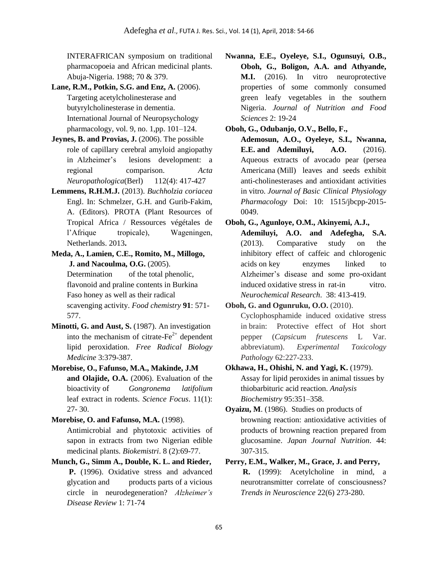INTERAFRICAN symposium on traditional pharmacopoeia and African medicinal plants. Abuja-Nigeria. 1988; 70 & 379.

- **Lane, R.M., Potkin, S.G. and Enz, A.** (2006). Targeting acetylcholinesterase and butyrylcholinesterase in dementia. International Journal of Neuropsychology pharmacology, vol. 9, no. 1,pp. 101–124.
- **Jeynes, B. and Provias, J.** (2006). The possible role of capillary cerebral amyloid angiopathy in Alzheimer's lesions development: a regional comparison. *Acta Neuropathologica*(Berl) 112(4): 417-427
- **Lemmens, R.H.M.J.** (2013). *Buchholzia coriacea*  Engl. In: Schmelzer, G.H. and Gurib-Fakim, A. (Editors). PROTA (Plant Resources of Tropical Africa / Ressources végétales de l'Afrique tropicale), Wageningen, Netherlands. 2013**.**

**Meda, A., Lamien, C.E., Romito, M., Millogo, J. and Nacoulma, O.G.** (2005). Determination of the total phenolic, flavonoid and praline contents in Burkina Faso honey as well as their radical scavenging activity. *Food chemistry* **91**: 571- 577.

- **Minotti, G. and Aust, S.** (1987). An investigation into the mechanism of citrate- $Fe<sup>2+</sup>$  dependent lipid peroxidation. *Free Radical Biology Medicine* 3:379-387.
- **Morebise, O., Fafunso, M.A., Makinde, J.M and Olajide, O.A.** (2006). Evaluation of the bioactivity of *Gongronema latifolium*  leaf extract in rodents. *Science Focus*. 11(1): 27- 30.

**Morebise, O. and Fafunso, M.A.** (1998). Antimicrobial and phytotoxic activities of sapon in extracts from two Nigerian edible medicinal plants. *Biokemistri*. 8 (2):69-77.

**Munch, G., Simm A., Double, K. L. and Rieder, P.** (1996). Oxidative stress and advanced glycation and products parts of a vicious circle in neurodegeneration? *Alzheimer's Disease Review* 1: 71-74

**Nwanna, E.E., Oyeleye, S.I., Ogunsuyi, O.B., Oboh, G., Boligon, A.A. and Athyande, M.I.** (2016). In vitro neuroprotective properties of some commonly consumed green leafy vegetables in the southern Nigeria. *Journal of Nutrition and Food Sciences* 2: 19-24

**Oboh, G., Odubanjo, O.V., Bello, F.,**

**Ademosun, A.O., Oyeleye, S.I., Nwanna, E.E. and Ademiluyi, A.O.** (2016). Aqueous extracts of avocado pear (persea Americana (Mill) leaves and seeds exhibit anti-cholinesterases and antioxidant activities in vitro. *Journal of Basic Clinical Physiology Pharmacology* Doi: 10: 1515/jbcpp-2015- 0049.

**Oboh, G., Agunloye, O.M., Akinyemi, A.J.,**

**Ademiluyi, A.O. and Adefegha, S.A.** (2013). Comparative study on the inhibitory effect of caffeic and chlorogenic acids on key enzymes linked to Alzheimer's disease and some pro-oxidant induced oxidative stress in rat-in vitro. *Neurochemical Research*. 38: 413-419.

**Oboh, G. and Ogunruku, O.O.** (2010).

Cyclophosphamide induced oxidative stress in brain: Protective effect of Hot short pepper (*Capsicum frutescens* L Var. abbreviatum). *Experimental Toxicology Pathology* 62:227-233.

- **Okhawa, H., Ohishi, N. and Yagi, K.** (1979). Assay for lipid peroxides in animal tissues by thiobarbituric acid reaction. *Analysis Biochemistry* 95:351–358.
- **Oyaizu, M**. (1986). Studies on products of browning reaction: antioxidative activities of products of browning reaction prepared from glucosamine. *Japan Journal Nutrition*. 44: 307-315.

**Perry, E.M., Walker, M., Grace, J. and Perry,**

**R.** (1999): Acetylcholine in mind, a neurotransmitter correlate of consciousness? *Trends in Neuroscience* 22(6) 273-280.